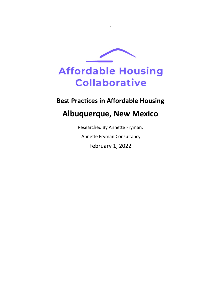

`

# **Best Practices in Affordable Housing**

# **Albuquerque, New Mexico**

Researched By Annette Fryman, Annette Fryman Consultancy February 1, 2022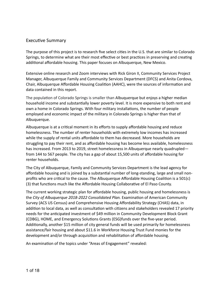## Executive Summary

The purpose of this project is to research five select cities in the U.S. that are similar to Colorado Springs, to determine what are their most effective or best practices in preserving and creating additional affordable housing. This paper focuses on Albuquerque, New Mexico.

Extensive online research and Zoom interviews with Rick Giron II, Community Services Project Manager, Albuquerque Family and Community Services Department (DFCS) and Anita Cordova, Chair, Albuquerque Affordable Housing Coalition (AAHC), were the sources of information and data contained in this report.

The population of Colorado Springs is smaller than Albuquerque but enjoys a higher median household income and substantially lower poverty level. It is more expensive to both rent and own a home in Colorado Springs. With four military installations, the number of people employed and economic impact of the military in Colorado Springs is higher than that of Albuquerque.

Albuquerque is at a critical moment in its efforts to supply affordable housing and reduce homelessness. The number of renter households with extremely low incomes has increased while the supply of rental units affordable to them has decreased. More households are struggling to pay their rent, and as affordable housing has become less available, homelessness has increased. From 2013 to 2019, street homelessness in Albuquerque nearly quadrupled from 144 to 567 people. The city has a gap of about 15,500 units of affordable housing for renter households.

The City of Albuquerque, Family and Community Services Department is the lead agency for affordable housing and is joined by a substantial number of long-standing, large and small nonprofits who are critical to the cause. The Albuquerque Affordable Housing Coalition is a 501(c) (3) that functions much like the Affordable Housing Collaborative of El Paso County.

The current working strategic plan for affordable housing, public housing and homelessness is the *City of Albuquerque 2018-2022 Consolidated Plan.* Examination of American Community Survey (ACS US Census) and Comprehensive Housing Affordability Strategy (CHAS) data, in addition to local data, as well as consultation with citizens and stakeholders revealed 17 priority needs for the anticipated investment of \$49 million in Community Development Block Grant (CDBG), HOME, and Emergency Solutions Grants (ESG)funds over the five-year period. Additionally, another \$15 million of city general funds will be used primarily for homelessness assistance/fair housing and about \$11.6 in Workforce Housing Trust Fund monies for the development and/or through acquisition and rehabilitation of affordable housing.

An examination of the topics under "Areas of Engagement" revealed: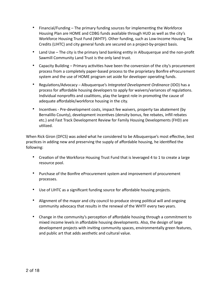- Financial/Funding The primary funding sources for implementing the Workforce Housing Plan are HOME and CDBG funds available through HUD as well as the city's Workforce Housing Trust Fund (WHTF). Other funding, such as Low-Income Housing Tax Credits (LIHTC) and city general funds are secured on a project-by-project basis.
- Land Use The city is the primary land banking entity in Albuquerque and the non-profit Sawmill Community Land Trust is the only land trust.
- Capacity Building Primary activities have been the conversion of the city's procurement process from a completely paper-based process to the proprietary Bonfire eProcurement system and the use of HOME program set aside for developer operating funds.
- Regulations/Advocacy Albuquerque's *Integrated Development Ordinance* (IDO) has a process for affordable housing developers to apply for waivers/variances of regulations. Individual nonprofits and coalitions, play the largest role in promoting the cause of adequate affordable/workforce housing in the city.
- Incentives Pre-development costs, impact fee waivers, property tax abatement (by Bernalillo County), development incentives (density bonus, fee rebates, infill rebates etc.) and Fast Track Development Review for Family Housing Developments (FHD) are utilized.

When Rick Giron (DFCS) was asked what he considered to be Albuquerque's most effective, best practices in adding new and preserving the supply of affordable housing, he identified the following:

- Creation of the Workforce Housing Trust Fund that is leveraged 4 to 1 to create a large resource pool.
- Purchase of the Bonfire eProcurement system and improvement of procurement processes.
- Use of LIHTC as a significant funding source for affordable housing projects.
- Alignment of the mayor and city council to produce strong political will and ongoing community advocacy that results in the renewal of the WHTF every two years.
- Change in the community's perception of affordable housing through a commitment to mixed income levels in affordable housing developments. Also, the design of large development projects with inviting community spaces, environmentally green features, and public art that adds aesthetic and cultural value.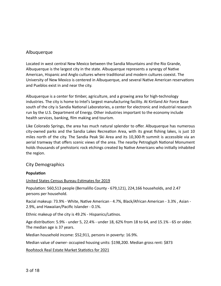# Albuquerque

Located in west central New Mexico between the Sandia Mountains and the Rio Grande, Albuquerque is the largest city in the state. Albuquerque represents a synergy of Native American, Hispanic and Anglo cultures where traditional and modern cultures coexist. The University of New Mexico is centered in Albuquerque, and several Native American reservations and Pueblos exist in and near the city.

Albuquerque is a center for timber, agriculture, and a growing area for high-technology industries. The city is home to Intel's largest manufacturing facility. At Kirtland Air Force Base south of the city is Sandia National Laboratories, a center for electronic and industrial research run by the U.S. Department of Energy. Other industries important to the economy include health services, banking, film making and tourism.

Like Colorado Springs, the area has much natural splendor to offer. Albuquerque has numerous city-owned parks and the Sandia Lakes Recreation Area, with its great fishing lakes, is just 10 miles north of the city. The Sandia Peak Ski Area and its 10,300-ft summit is accessible via an aerial tramway that offers scenic views of the area. The nearby Petroglyph National Monument holds thousands of prehistoric rock etchings created by Native Americans who initially inhabited the region.

# City Demographics

## **Population**

#### United States Census Bureau Estimates for 2019

Population: 560,513 people (Bernalillo County - 679,121), 224,166 households, and 2.47 persons per household.

Racial makeup: 73.9% - [White,](https://en.wikipedia.org/wiki/White_American) Native American - 4.7%, [Black/African American](https://en.wikipedia.org/wiki/African_American) - 3.3% , [Asian](https://en.wikipedia.org/wiki/Asian_American) - 2.9%, and Hawaiian/Pacific Islander - 0.1%.

Ethnic makeup of the city is 49.2% - [Hispanics/Latinos.](https://en.wikipedia.org/wiki/Hispanic_and_Latino_Americans)

Age distribution: 5.9% - under 5, 22.4% - under 18, 62% from 18 to 64, and 15.1% - 65 or older. The median age is 37 years.

Median household income: \$52,911, persons in poverty: 16.9%.

Median value of owner- occupied housing units: \$198,200. Median gross rent: \$873

Roofstock Real Estate Market Statistics for 2021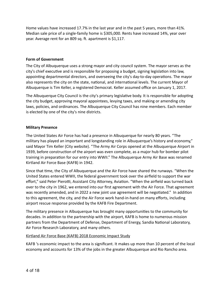Home values have increased 17.7% in the last year and in the past 5 years, more than 41%. Median sale price of a single-family home is \$305,000. Rents have increased 14%, year over year. Average rent for an 809 sq. ft. apartment is \$1,117.

#### **Form of Government**

The City of Albuquerque uses a strong mayor and city council system. The mayor serves as the city's chief executive and is responsible for proposing a budget, signing legislation into law, appointing departmental directors, and overseeing the city's day-to-day operations. The mayor also represents the city on the state, national, and international levels. The current Mayor of Albuquerque is [Tim Keller,](https://ballotpedia.org/Tim_Keller_(New_Mexico)) a registered Democrat. Keller assumed office on January 1, 2017.

The Albuquerque City Council is the city's primary legislative body. It is responsible for adopting the city budget, approving mayoral appointees, levying taxes, and making or amending city laws, policies, and ordinances. The Albuquerque City Council has nine members. Each member is elected by one of the city's nine districts.

#### **Military Presence**

The United States Air Force has had a presence in Albuquerque for nearly 80 years. "The military has played an important and longstanding role in Albuquerque's history and economy," said Mayor Tim Keller (City website). "The Army Air Corps opened at the Albuquerque Airport in 1939, before construction of the airport was even complete, as a major hub for bomber pilot training in preparation for our entry into WWII." The Albuquerque Army Air Base was renamed Kirtland Air Force Base (KAFB) in 1942.

Since that time, the City of Albuquerque and the Air Force have shared the runways. "When the United States entered WWII, the federal government took over the airfield to support the war effort," said Peter Pierotti, Assistant City Attorney, Aviation. "When the airfield was turned back over to the city in 1962, we entered into our first agreement with the Air Force. That agreement was recently amended, and in 2022 a new joint use agreement will be negotiated." In addition to this agreement, the city, and the Air Force work hand-in-hand on many efforts, including airport rescue response provided by the KAFB Fire Department.

The military presence in Albuquerque has brought many opportunities to the community for decades. In addition to the partnership with the airport, KAFB is home to numerous mission partners from the Department of Defense, Department of Energy, Sandia National Laboratory, Air Force Research Laboratory, and many others.

## Kirtland Air Force Base (KAFB) 2018 Economic Impact Study

KAFB 's economic impact to the area is significant. It makes up more than 10 percent of the local economy and accounts for 13% of the jobs in the greater Albuquerque and Rio Rancho area.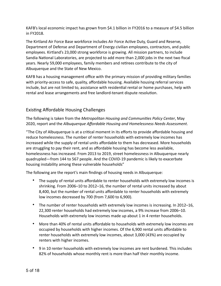KAFB's local economic impact has grown from \$4.1 billion in FY2016 to a measure of \$4.5 billion in FY2018.

The Kirtland Air Force Base workforce includes Air Force Active Duty, Guard and Reserve, Department of Defense and Department of Energy civilian employees, contractors, and public employees. Kirtland's 23,000 strong workforce is growing. All mission partners, to include Sandia National Laboratories, are projected to add more than 2,000 jobs in the next two fiscal years. Nearly 59,000 employees, family members and retirees contribute to the city of Albuquerque and the State of New Mexico.

KAFB has a housing management office with the primary mission of providing military families with priority-access to safe, quality, affordable housing. Available housing referral services include, but are not limited to, assistance with residential rental or home purchases, help with rental and lease arrangements and free landlord-tenant dispute resolution.

# Existing Affordable Housing Challenges

The following is taken from the *Metropolitan Housing and Communities Policy Center*, May 2020, report and the *Albuquerque Affordable Housing and Homelessness Needs Assessment*.

"The City of Albuquerque is at a critical moment in its efforts to provide affordable housing and reduce homelessness. The number of renter households with extremely low incomes has increased while the supply of rental units affordable to them has decreased. More households are struggling to pay their rent, and as affordable housing has become less available, homelessness has increased. From 2013 to 2019, street homelessness in Albuquerque nearly quadrupled—from 144 to 567 people. And the COVID-19 pandemic is likely to exacerbate housing instability among these vulnerable households"

The following are the report's main findings of housing needs in Albuquerque:

- The supply of rental units affordable to renter households with extremely low incomes is shrinking. From 2006–10 to 2012–16, the number of rental units increased by about 8,400, but the number of rental units affordable to renter households with extremely low incomes decreased by 700 (from 7,600 to 6,900).
- The number of renter households with extremely low incomes is increasing. In 2012–16, 22,300 renter households had extremely low incomes, a 9% increase from 2006–10. Households with extremely low incomes made up about 1 in 4 renter households.
- More than 40% of rental units affordable to households with extremely low incomes are occupied by households with higher incomes. Of the 6,900 rental units affordable to renter households with extremely low incomes, about 3,000 (43%) are occupied by renters with higher incomes.
- 9 in 10 renter households with extremely low incomes are rent burdened. This includes 82% of households whose monthly rent is more than half their monthly income.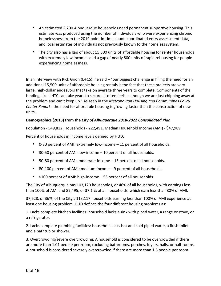- An estimated 2,200 Albuquerque households need permanent supportive housing. This estimate was produced using the number of individuals who were experiencing chronic homelessness from the 2019 point-in-time count, coordinated entry assessment data, and local estimates of individuals not previously known to the homeless system.
- The city also has a gap of about 15,500 units of affordable housing for renter households with extremely low incomes and a gap of nearly 800 units of rapid rehousing for people experiencing homelessness.

In an interview with Rick Giron (DFCS), he said – "our biggest challenge in filling the need for an additional 15,500 units of affordable housing rentals is the fact that these projects are very large, high-dollar endeavors that take on average three years to complete. Components of the funding, like LIHTC can take years to secure. It often feels as though we are just chipping away at the problem and can't keep up." As seen in the *Metropolitan Housing and Communities Policy Center Report* - the need for affordable housing is growing faster than the construction of new units.

## **Demographics (2013) from the** *City of Albuquerque 2018-2022 Consolidated Plan*

Population - 549,812, Households - 222,491, Median Household Income (AMI) - \$47,989

Percent of households in income levels defined by HUD:

- 0-30 percent of AMI: extremely low-income 11 percent of all households.
- 30-50 percent of AMI: low-income 10 percent of all households.
- 50-80 percent of AMI: moderate-income 15 percent of all households.
- 80-100 percent of AMI: medium-income 9 percent of all households.
- >100 percent of AMI: high-income 55 percent of all households.

The City of Albuquerque has 103,120 households, or 46% of all households, with earnings less than 100% of AMI and 82,495, or 37.1 % of all households, which earn less than 80% of AMI.

37,628, or 36%, of the City's 113,117 households earning less than 100% of AMI experience at least one housing problem. HUD defines the four different housing problems as:

1. Lacks complete kitchen facilities: household lacks a sink with piped water, a range or stove, or a refrigerator.

2. Lacks complete plumbing facilities: household lacks hot and cold piped water, a flush toilet and a bathtub or shower.

3. Overcrowding/severe overcrowding: A household is considered to be overcrowded if there are more than 1.01 people per room, excluding bathrooms, porches, foyers, halls, or half-rooms. A household is considered severely overcrowded if there are more than 1.5 people per room.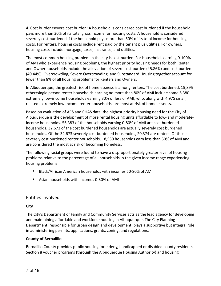4. Cost burden/severe cost burden: A household is considered cost burdened if the household pays more than 30% of its total gross income for housing costs. A household is considered severely cost burdened if the household pays more than 50% of its total income for housing costs. For renters, housing costs include rent paid by the tenant plus utilities. For owners, housing costs include mortgage, taxes, insurance, and utilities.

The most common housing problem in the city is cost burden. For households earning 0-100% of AMI who experience housing problems, the highest priority housing needs for both Renter and Owner households include the alleviation of severe cost burden (45.86%) and cost burden (40.44%). Overcrowding, Severe Overcrowding, and Substandard Housing together account for fewer than 8% of all housing problems for Renters and Owners.

In Albuquerque, the greatest risk of homelessness is among renters. The cost burdened, 15,895 other/single person renter households earning no more than 80% of AMI include some 6,380 extremely low-income households earning 30% or less of AMI, who, along with 4,975 small, related extremely low-income renter households, are most at risk of homelessness.

Based on evaluation of ACS and CHAS data, the highest priority housing need for the City of Albuquerque is the development of more rental housing units affordable to low- and moderateincome households. 56,383 of the households earning 0-80% of AMI are cost burdened households. 32,673 of the cost burdened households are actually severely cost burdened households. Of the 32,673 severely cost burdened households, 20,374 are renters. Of those severely cost burdened renter households, 18,550 households earn less than 50% of AMI and are considered the most at risk of becoming homeless.

The following racial groups were found to have a disproportionately greater level of housing problems relative to the percentage of all households in the given income range experiencing housing problems:

- Black/African American households with incomes 50-80% of AMI
- Asian households with incomes 0-30% of AMI

# Entities Involved

## **City**

The City's Department of Family and Community Services acts as the lead agency for developing and maintaining affordable and workforce housing in Albuquerque. The City Planning Department, responsible for urban design and development, plays a supportive but integral role in administering permits, applications, grants, zoning, and regulations.

## **County of Bernalillo**

Bernalillo County provides public housing for elderly, handicapped or disabled county residents, Section 8 voucher programs (through the Albuquerque Housing Authority) and housing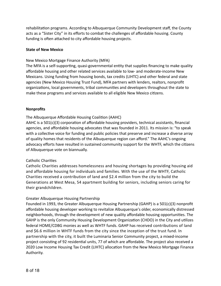rehabilitation programs. According to Albuquerque Community Development staff, the County acts as a "Sister City" in its efforts to combat the challenges of affordable housing. County funding is often attached to city affordable housing projects.

#### **State of New Mexico**

#### New Mexico Mortgage Finance Authority (MFA)

The MFA is a self-supporting, quasi-governmental entity that supplies financing to make quality affordable housing and other related services available to low- and moderate-income New Mexicans. Using funding from housing bonds, tax credits (LIHTC) and other federal and state agencies (New Mexico Housing Trust Fund), MFA partners with lenders, realtors, nonprofit organizations, local governments, tribal communities and developers throughout the state to make these programs and services available to all eligible New Mexico citizens.

#### **Nonprofits**

#### The Albuquerque Affordable Housing Coalition (AAHC)

AAHC is a 501(c)(3) corporation of affordable housing providers, technical assistants, financial agencies, and affordable housing advocates that was founded in 2011. Its mission is: "to speak with a collective voice for funding and public policies that preserve and increase a diverse array of quality homes that residents of the Albuquerque region can afford." The AAHC's ongoing advocacy efforts have resulted in sustained community support for the WHTF, which the citizens of Albuquerque vote on biannually.

#### Catholic Charities

Catholic Charities addresses homelessness and housing shortages by providing housing aid and affordable housing for individuals and families. With the use of the WHTF, Catholic Charities received a contribution of land and \$2.4 million from the city to build the Generations at West Mesa, 54 apartment building for seniors, including seniors caring for their grandchildren.

## Greater Albuquerque Housing Partnership

Founded in 1993, the Greater Albuquerque Housing Partnership (GAHP) is a 501(c)(3) nonprofit affordable housing developer working to revitalize Albuquerque's older, economically distressed neighborhoods, through the development of new quality affordable housing opportunities. The GAHP is the only Community Housing Development Organization (CHDO) in the City and utilizes federal HOME/CDBG monies as well as WHTF funds. GAHP has received contributions of land and \$6.6 million in WHTF funds from the city since the inception of the trust fund. In partnership with the city, it built the Luminaria Senior Community project, a mixed-income project consisting of 92 residential units, 77 of which are affordable. The project also received a 2020 Low Income Housing Tax Credit (LIHTC) allocation from the New Mexico Mortgage Finance Authority.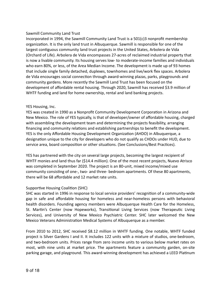#### Sawmill Community Land Trust

Incorporated in 1994, the Sawmill Community Land Trust is a 501(c)3 nonprofit membership organization. It is the only land trust in Albuquerque. Sawmill is responsible for one of the largest contiguous community land trust projects in the United States, Arbolera de Vida (Orchard of Life). Arbolera de Vida encompasses 27-acres of reclaimed industrial property that is now a livable community. Its housing serves low- to moderate-income families and individuals who earn 80%, or less, of the Area Median Income. The development is made up of 93 homes that include single family detached, duplexes, townhomes and live/work flex spaces. Arbolera de Vida encourages social connection through award-winning plazas, parks, playgrounds and community gardens. More recently the Sawmill Land Trust has been focused on the development of affordable rental housing. Through 2020, Sawmill has received \$3.9 million of WHTF funding and land for home ownership, rental and land banking projects.

#### YES Housing, Inc.

YES was created in 1990 as a Nonprofit Community Development Corporation in Arizona and New Mexico. The role of YES typically, is that of developer/owner of affordable housing, charged with assembling the development team and determining the projects feasibility, arranging financing and community relations and establishing partnerships to benefit the development. YES is the only Affordable Housing Development Organization (AHDO) in Albuquerque, a designation unique to the city for developers who do not qualify as CHDOs under HUD, due to service area, board composition or other situations. (See Conclusions/Best Practices).

YES has partnered with the city on several large projects, becoming the largest recipient of WHTF monies and land thus far (\$14.4 million). One of the most recent projects, Nuevo Atrisco was completed in September 2020. The project is an 80-unit, mixed income/mixed use community consisting of one-, two- and three- bedroom apartments. Of these 80 apartments, there will be 68 affordable and 12 market rate units.

## Supportive Housing Coalition (SHC)

SHC was started in 1996 in response to local service providers' recognition of a community-wide gap in safe and affordable housing for homeless and near-homeless persons with behavioral health disorders. Founding agency members were Albuquerque Health Care for the Homeless, St. Martin's Center (now Hopeworks), Transitional Living Services (now Therapeutic Living Services), and University of New Mexico Psychiatric Center. SHC later welcomed the New Mexico Veterans Administration Medical Systems of Albuquerque as a member.

From 2010 to 2012, SHC received \$8.12 million in WHTF funding. One notable, WHTF funded project is Silver Gardens I and II. It includes 122 units with a mixture of studios, one-bedroom, and two-bedroom units. Prices range from zero income units to various below market rates on most, with nine units at market price. The apartments feature a community garden, on-site parking garage, and playground. This award-winning development has achieved a LEED Platinum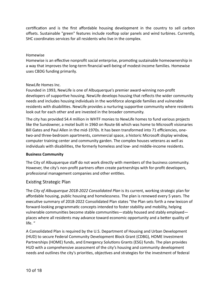certification and is the first affordable housing development in the country to sell carbon offsets. Sustainable "green" features include rooftop solar panels and wind turbines. Currently, SHC coordinates services for all residents who live in the complex.

#### Homewise

Homewise is an effective nonprofit social enterprise, promoting sustainable homeownership in a way that improves the long-term financial well-being of modest-income families*.* Homewise uses CBDG funding primarily.

#### NewLife Homes Inc.

Founded in 1993, NewLife is one of Albuquerque's premier award-winning non-profit developers of supportive housing. NewLife develops housing that reflects the wider community needs and includes housing individuals in the workforce alongside families and vulnerable residents with disabilities. NewLife provides a nurturing supportive community where residents look out for each other and are invested in the broader community.

The city has provided S4.4 million in WHTF monies to NewLife homes to fund various projects like the Sundowner, a motel built in 1960 on Route 66 which was home to Microsoft visionaries Bill Gates and Paul Allen in the mid-1970s. It has been transformed into 71 efficiencies, onetwo-and three-bedroom apartments, commercial space, a historic Microsoft display window, computer training center and community garden. The complex houses veterans as well as individuals with disabilities, the formerly homeless and low- and middle-income residents.

#### **Business Community**

The City of Albuquerque staff do not work directly with members of the business community. However, the city's non-profit partners often create partnerships with for-profit developers, professional management companies and other entities.

## Existing Strategic Plan

The *City of Albuquerque 2018-2022 Consolidated Plan* is its current, working strategic plan for affordable housing, public housing and homelessness. The plan is renewed every 5 years. The executive summary of 2018-2022 Consolidated Plan states "the Plan sets forth a new lexicon of forward-looking programmatic concepts intended to foster stability and mobility, helping vulnerable communities become stable communities—stably housed and stably employed places where all residents may advance toward economic opportunity and a better quality of life. "

A Consolidated Plan is required by the U.S. Department of Housing and Urban Development (HUD) to secure Federal Community Development Block Grant (CDBG), HOME Investment Partnerships (HOME) funds, and Emergency Solutions Grants (ESG) funds. The plan provides HUD with a comprehensive assessment of the city's housing and community development needs and outlines the city's priorities, objectives and strategies for the investment of federal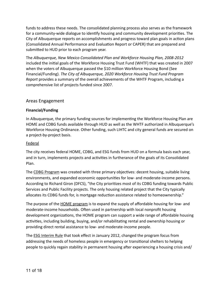funds to address these needs. The consolidated planning process also serves as the framework for a community-wide dialogue to identify housing and community development priorities. The City of Albuquerque reports on accomplishments and progress toward plan goals in action plans (Consolidated Annual Performance and Evaluation Report or CAPER) that are prepared and submitted to HUD prior to each program year.

The *Albuquerque, New Mexico Consolidated Plan and Workforce Housing Plan, 2008-2012*  included the initial goals of the Workforce Housing Trust Fund (WHTF) that was created in 2007 when the voters of Albuquerque passed the \$10 million Workforce Housing Bond (See Financial/Funding). *The City of Albuquerque, 2020 Workforce Housing Trust Fund Program Report* provides a summary of the overall achievements of the WHTF Program, including a comprehensive list of projects funded since 2007.

# Areas Engagement

## **Financial/Funding**

In Albuquerque, the primary funding sources for implementing the Workforce Housing Plan are HOME and CDBG funds available through HUD as well as the WHTF authorized in Albuquerque's Workforce Housing Ordinance. Other funding, such LIHTC and city general funds are secured on a project-by-project basis.

## Federal

The city receives federal HOME, CDBG, and ESG funds from HUD on a formula basis each year, and in turn, implements projects and activities in furtherance of the goals of its Consolidated Plan.

The CDBG Program was created with three primary objectives: decent housing, suitable living environments, and expanded economic opportunities for low- and moderate-income persons. According to Richard Giron (DFCS), "the City prioritizes most of its CDBG funding towards Public Services and Public Facility projects. The only housing related project that the City typically allocates its CDBG funds for, is mortgage reduction assistance related to homeownership."

The purpose of the <u>HOME program</u> is to expand the supply of affordable housing for low- and moderate-income households. Often used in partnership with local nonprofit housing development organizations, the HOME program can support a wide range of affordable housing activities, including building, buying, and/or rehabilitating rental and ownership housing or providing direct rental assistance to low- and moderate-income people.

The ESG Interim Rule that took effect in January 2012, changed the program focus from addressing the needs of homeless people in emergency or transitional shelters to helping people to quickly regain stability in permanent housing after experiencing a housing crisis and/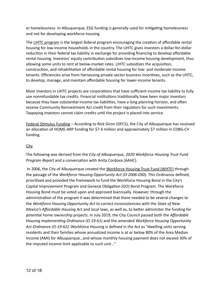or homelessness. In Albuquerque, ESG funding is generally used for mitigating homelessness and not for developing workforce housing.

The LIHTC program is the largest federal program encouraging the creation of affordable rental housing for low-income households in the country. The LIHTC gives investors a dollar-for-dollar reduction in their federal tax liability in exchange for providing financing to develop affordable rental housing. Investors' equity contribution subsidizes low-income housing development, thus allowing some units to rent at below-market rates. LIHTC subsidizes the acquisition, construction, and rehabilitation of affordable rental housing for low- and moderate-income tenants. Efficiencies arise from harnessing private-sector business incentives, such as the LIHTC, to develop, manage, and maintain affordable housing for lower-income tenants.

Most investors in LIHTC projects are corporations that have sufficient income tax liability to fully use nonrefundable tax credits. Financial institutions traditionally have been major investors because they have substantial income tax liabilities, have a long planning horizon, and often receive Community Reinvestment Act credit from their regulators for such investments. Taxpaying investors cannot claim credits until the project is placed into service.

Federal Stimulus Funding – According to Rick Giron (DFCS), the City of Albuquerque has received an allocation of HOME-ARP funding for \$7.4 million and approximately \$7 million in CDBG-CV funding.

## **City**

The following was derived from the *City of Albuquerque, 2020 Workforce Housing Trust Fund Program Report* and a conversation with Anita Cordova (AAHC).

 In 2006, the City of Albuquerque created the Workforce Housing Trust Fund (WHTF) through the passage of the *Workforce Housing Opportunity Act (O-2006-030).* This Ordinance defined, prioritized and provided the framework to fund the Workforce Housing Bond in the City's Capital Improvement Program and General Obligation (GO) Bond Program. The Workforce Housing Bond must be voted upon and approved biannually. However, through the administration of the program it was determined that there needed to be several changes to the *Workforce Housing Opportunity Act* to correct inconsistencies with the *State of New Mexico's Affordable Housing Act* and local laws, as well as, to better administer the funding for potential home ownership projects. In July 2019, the City Council passed both the *Affordable Housing Implementing Ordinance (O-19-61)* and the amended *Workforce Housing Opportunity Act Ordinance (O-19-62)*. Workforce Housing is defined in the Act as "dwelling units serving residents and their families whose annualized income is at or below 80% of the Area Median Income (AMI) for Albuquerque…and whose monthly housing payment does not exceed 30% of the imputed income limit applicable to such unit…"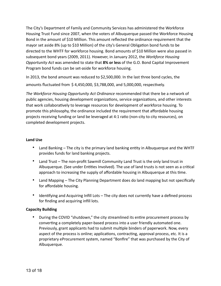The City's Department of Family and Community Services has administered the Workforce Housing Trust Fund since 2007, when the voters of Albuquerque passed the Workforce Housing Bond in the amount of \$10 Million. This amount reflected the ordinance requirement that the mayor set aside 8% (up to \$10 Million) of the city's General Obligation bond funds to be directed to the WHTF for workforce housing. Bond amounts of \$10 Million were also passed in subsequent bond years (2009, 2011). However, in January 2012, the *Workforce Housing Opportunity Act* was amended to state that **8% or less** of the G.O. Bond Capital Improvement Program bond funds can be set-aside for workforce housing.

In 2013, the bond amount was reduced to \$2,500,000. In the last three bond cycles, the amounts fluctuated from \$ 4,450,000, \$3,788,000, and 5,000,000, respectively.

*The Workforce Housing Opportunity Act Ordinance* recommended that there be a network of public agencies, housing development organizations, service organizations, and other interests that work collaboratively to leverage resources for development of workforce housing. To promote this philosophy, the ordinance included the requirement that affordable housing projects receiving funding or land be leveraged at 4:1 ratio (non-city to city resources), on completed development projects.

#### **Land Use**

- Land Banking The city is the primary land banking entity in Albuquerque and the WHTF provides funds for land banking projects.
- Land Trust The non-profit Sawmill Community Land Trust is the only land trust in Albuquerque. (See under Entities Involved). The use of land trusts is not seen as a critical approach to increasing the supply of affordable housing in Albuquerque at this time.
- Land Mapping The City Planning Department does do land mapping but not specifically for affordable housing.
- Identifying and Acquiring Infill Lots The city does not currently have a defined process for finding and acquiring infill lots.

## **Capacity Building**

• During the COVID "shutdown," the city streamlined its entire procurement process by converting a completely paper-based process into a user friendly automated one. Previously, grant applicants had to submit multiple binders of paperwork. Now, every aspect of the process is online; applications, contracting, approval process, etc. It is a proprietary eProcurement system, named "Bonfire" that was purchased by the City of Albuquerque.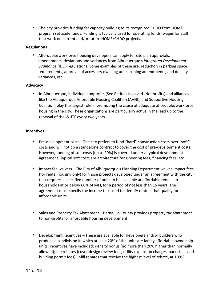• The city provides funding for capacity building to its recognized CHDO from HOME program set aside funds. Funding is typically used for operating funds; wages for staff that work on current and/or future HOME/CHDO projects.

#### **Regulations**

• Affordable/workforce housing developers can apply for site plan approvals, amendments, deviations and variances from Albuquerque's *Integrated Development Ordinance* (IDO) regulations. Some examples of these are: reduction in parking space requirements, approval of accessory dwelling units, zoning amendments, and density variances, etc.

#### **Advocacy**

• In Albuquerque, individual nonprofits (See Entities Involved- Nonprofits) and alliances like the Albuquerque Affordable Housing Coalition (AAHC) and Supportive Housing Coalition, play the largest role in promoting the cause of adequate affordable/workforce housing in the city. These organizations are particularly active in the lead up to the renewal of the WHTF every two years.

#### **Incentives**

- Pre-development costs The city prefers to fund "hard" construction costs over "soft" costs and will not do a standalone contract to cover the cost of pre-development costs. However, funding of soft costs (up to 20%) is covered under a typical development agreement. Typical soft costs are architectural/engineering fees, financing fees, etc.
- Impact fee waivers The City of Albuquerque's Planning Department waives impact fees (for rental housing only) for those projects developed under an agreement with the city that requires a specified number of units to be available at affordable rents – to households at or below 60% of MFI, for a period of not less than 15 years. The agreement must specify the income test used to identify renters that qualify for affordable units.
- Sales and Property Tax Abatement Bernalillo County provides property tax abatement to non-profits for affordable housing development.
- Development Incentives These are available for developers and/or builders who produce a subdivision in which at least 20% of the units are family affordable ownership units. Incentives have included: density bonus (no more than 20% higher than normally allowed); fee rebates (cover design review fees, utility expansion charges, parks fees and building permit fees); infill rebates that receive the highest level of rebate, at 100%.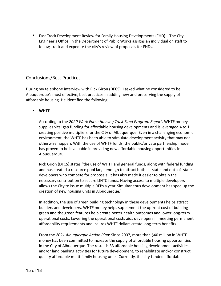• Fast Track Development Review for Family Housing Developments (FHD) – The City Engineer's Office, in the Department of Public Works assigns an individual on staff to follow, track and expedite the city's review of proposals for FHDs.

# Conclusions/Best Practices

During my telephone interview with Rick Giron (DFCS), I asked what he considered to be Albuquerque's most effective, best practices in adding new and preserving the supply of affordable housing. He identified the following:

• **WHTF**

According to the *2020 Work Force Housing Trust Fund Program Report,* WHTF money supplies vital gap funding for affordable housing developments and is leveraged 4 to 1, creating positive multipliers for the City of Albuquerque. Even in a challenging economic environment, the WHTF has been able to stimulate development activity that may not otherwise happen. With the use of WHTF funds, the public/private partnership model has proven to be invaluable in providing new affordable housing opportunities in Albuquerque.

Rick Giron (DFCS) states "the use of WHTF and general funds, along with federal funding and has created a resource pool large enough to attract both in- state and out- of- state developers who compete for proposals. It has also made it easier to obtain the necessary contribution to secure LIHTC funds. Having access to multiple developers allows the City to issue multiple RFPs a year. Simultaneous development has sped up the creation of new housing units in Albuquerque."

In addition, the use of green building technology in these developments helps attract builders and developers. WHTF money helps supplement the upfront cost of building green and the green features help create better health outcomes and lower long-term operational costs. Lowering the operational costs aids developers in meeting permanent affordability requirements and insures WHTF dollars create long-term benefits.

From the *2021 Albuquerque Action Plan*: Since 2007, more than \$40 million in WHTF money has been committed to increase the supply of affordable housing opportunities in the City of Albuquerque. The result is 33 affordable housing development activities and/or land banking activities for future development, to rehabilitate and/or construct quality affordable multi-family housing units. Currently, the city-funded affordable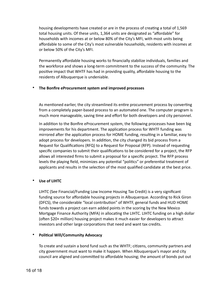housing developments have created or are in the process of creating a total of 1,569 total housing units. Of these units, 1,364 units are designated as "affordable" for households with incomes at or below 80% of the City's MFI, with most units being affordable to some of the City's most vulnerable households, residents with incomes at or below 50% of the City's MFI.

Permanently affordable housing works to financially stabilize individuals, families and the workforce and shows a long-term commitment to the success of the community. The positive impact that WHTF has had in providing quality, affordable housing to the residents of Albuquerque is undeniable.

#### • **The Bonfire eProcurement system and improved processes**

As mentioned earlier, the city streamlined its entire procurement process by converting from a completely paper-based process to an automated one. The computer program is much more manageable, saving time and effort for both developers and city personnel.

In addition to the Bonfire eProcurement system, the following processes have been big improvements for his department. The application process for WHTF funding was mirrored after the application process for HOME funding, resulting in a familiar, easy to adopt process for developers. In addition, the city changed its bid process from a Request for Qualifications (RFQ) to a Request for Proposal (RFP). Instead of requesting specific companies to submit their qualifications to be considered for a project, the RFP allows all interested firms to submit a proposal for a specific project. The RFP process levels the playing field, minimizes any potential "politics" or preferential treatment of applicants and results in the selection of the most qualified candidate at the best price.

## • **Use of LIHTC**

LIHTC (See Financial/Funding Low Income Housing Tax Credit) is a very significant funding source for affordable housing projects in Albuquerque. According to Rick Giron (DFCS), the considerable "local contribution" of WHTF, general funds and HUD HOME funds towards a project can earn added points in the scoring by the New Mexico Mortgage Finance Authority (MFA) in allocating the LIHTC. LIHTC funding on a high dollar (often \$20+ million) housing project makes it much easier for developers to attract investors and other large corporations that need and want tax credits.

#### • **Political Will/Community Advocacy**

To create and sustain a bond fund such as the WHTF; citizens, community partners and city government must want to make it happen. When Albuquerque's mayor and city council are aligned and committed to affordable housing; the amount of bonds put out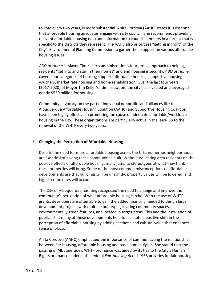to vote every two years, is more substantial. Anita Cordova (AAHC) states it is essential that affordable housing advocates engage with city council. She recommends providing relevant affordable housing data and information to council members in a format that is specific to the districts they represent. The AAHC also prioritizes "getting in front" of the City's Environmental Planning Commission to garner their support on various affordable housing issues.

*ABQ at Home* is Mayor Tim Keller's administration's four prong approach to helping residents "get into and stay in their homes" and end housing insecurity. *ABQ at Home* covers four categories of housing support: affordable housing; supportive housing vouchers; market rate housing and home rehabilitation. Over the last four years (2017-2020) of Mayor Tim Keller's administration, the city has invested and leveraged nearly \$550 million for housing.

Community advocacy on the part of individual nonprofits and alliances like the Albuquerque Affordable Housing Coalition (AAHC) and Supportive Housing Coalition, have been highly effective in promoting the cause of adequate affordable/workforce housing in the city. These organizations are particularly active in the lead- up to the renewal of the WHTF every two years.

#### • **Changing the Perception of Affordable Housing**

Despite the need for more affordable housing across the U.S., numerous neighborhoods are skeptical of having these communities built. Without educating area residents on the positive effects of affordable housing, many jump to stereotypes of what they think these properties will bring. Some of the most common misconceptions of affordable developments are that buildings will be unsightly; property values will be lowered, and higher crime rates will occur.

The City of Albuquerque has long recognized the need to change and improve the community's perception of what affordable housing can be. With the use of WHTF grants, developers are often able to gain the added financing needed to design large development projects with multiple unit types, inviting community spaces, environmentally green features, and located in target areas. This and the installation of public art at many of these developments help to facilitate a positive shift in the perception of affordable housing by adding aesthetic and cultural value that enhances sense of place.

Anita Cordova (AAHC) emphasized the importance of communicating the relationship between fair housing, affordable housing and basic human rights. She stated that the passing of Albuquerque's WHTF ordinance was aided by its ties to the City's Human Rights ordinance. Indeed, the federal *Fair Housing Act* of 1968 provides for fair housing